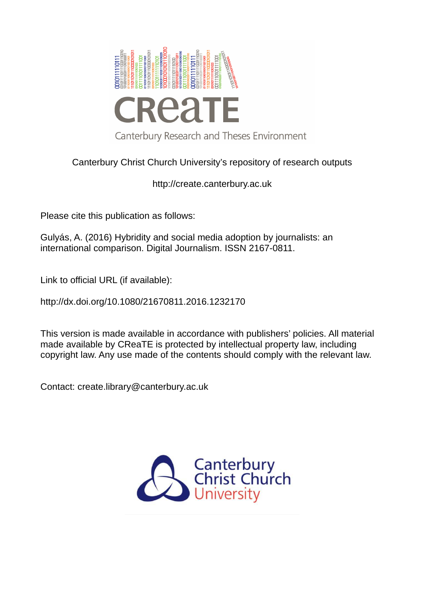

# Canterbury Christ Church University's repository of research outputs

http://create.canterbury.ac.uk

Please cite this publication as follows:

Gulyás, A. (2016) Hybridity and social media adoption by journalists: an international comparison. Digital Journalism. ISSN 2167-0811.

Link to official URL (if available):

http://dx.doi.org/10.1080/21670811.2016.1232170

This version is made available in accordance with publishers' policies. All material made available by CReaTE is protected by intellectual property law, including copyright law. Any use made of the contents should comply with the relevant law.

Contact: create.library@canterbury.ac.uk

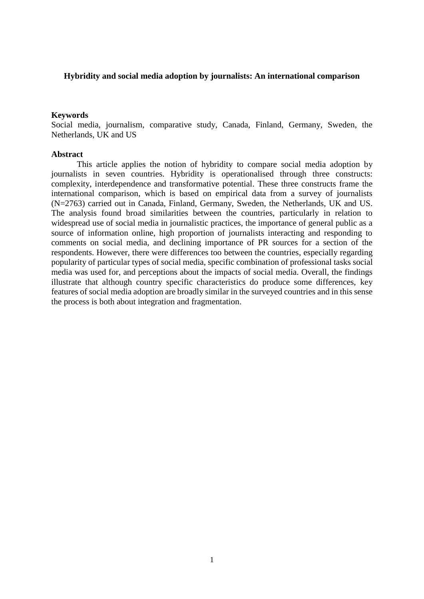#### **Hybridity and social media adoption by journalists: An international comparison**

#### **Keywords**

Social media, journalism, comparative study, Canada, Finland, Germany, Sweden, the Netherlands, UK and US

#### **Abstract**

This article applies the notion of hybridity to compare social media adoption by journalists in seven countries. Hybridity is operationalised through three constructs: complexity, interdependence and transformative potential. These three constructs frame the international comparison, which is based on empirical data from a survey of journalists (N=2763) carried out in Canada, Finland, Germany, Sweden, the Netherlands, UK and US. The analysis found broad similarities between the countries, particularly in relation to widespread use of social media in journalistic practices, the importance of general public as a source of information online, high proportion of journalists interacting and responding to comments on social media, and declining importance of PR sources for a section of the respondents. However, there were differences too between the countries, especially regarding popularity of particular types of social media, specific combination of professional tasks social media was used for, and perceptions about the impacts of social media. Overall, the findings illustrate that although country specific characteristics do produce some differences, key features of social media adoption are broadly similar in the surveyed countries and in this sense the process is both about integration and fragmentation.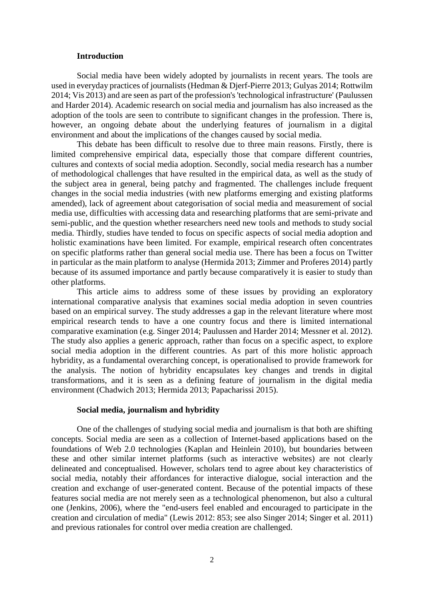#### **Introduction**

Social media have been widely adopted by journalists in recent years. The tools are used in everyday practices of journalists (Hedman & Djerf-Pierre 2013; Gulyas 2014; Rottwilm 2014; Vis 2013) and are seen as part of the profession's 'technological infrastructure' (Paulussen and Harder 2014). Academic research on social media and journalism has also increased as the adoption of the tools are seen to contribute to significant changes in the profession. There is, however, an ongoing debate about the underlying features of journalism in a digital environment and about the implications of the changes caused by social media.

This debate has been difficult to resolve due to three main reasons. Firstly, there is limited comprehensive empirical data, especially those that compare different countries, cultures and contexts of social media adoption. Secondly, social media research has a number of methodological challenges that have resulted in the empirical data, as well as the study of the subject area in general, being patchy and fragmented. The challenges include frequent changes in the social media industries (with new platforms emerging and existing platforms amended), lack of agreement about categorisation of social media and measurement of social media use, difficulties with accessing data and researching platforms that are semi-private and semi-public, and the question whether researchers need new tools and methods to study social media. Thirdly, studies have tended to focus on specific aspects of social media adoption and holistic examinations have been limited. For example, empirical research often concentrates on specific platforms rather than general social media use. There has been a focus on Twitter in particular as the main platform to analyse (Hermida 2013; Zimmer and Proferes 2014) partly because of its assumed importance and partly because comparatively it is easier to study than other platforms.

This article aims to address some of these issues by providing an exploratory international comparative analysis that examines social media adoption in seven countries based on an empirical survey. The study addresses a gap in the relevant literature where most empirical research tends to have a one country focus and there is limited international comparative examination (e.g. Singer 2014; Paulussen and Harder 2014; Messner et al. 2012). The study also applies a generic approach, rather than focus on a specific aspect, to explore social media adoption in the different countries. As part of this more holistic approach hybridity, as a fundamental overarching concept, is operationalised to provide framework for the analysis. The notion of hybridity encapsulates key changes and trends in digital transformations, and it is seen as a defining feature of journalism in the digital media environment (Chadwich 2013; Hermida 2013; Papacharissi 2015).

#### **Social media, journalism and hybridity**

One of the challenges of studying social media and journalism is that both are shifting concepts. Social media are seen as a collection of Internet-based applications based on the foundations of Web 2.0 technologies (Kaplan and Heinlein 2010), but boundaries between these and other similar internet platforms (such as interactive websites) are not clearly delineated and conceptualised. However, scholars tend to agree about key characteristics of social media, notably their affordances for interactive dialogue, social interaction and the creation and exchange of user-generated content. Because of the potential impacts of these features social media are not merely seen as a technological phenomenon, but also a cultural one (Jenkins, 2006), where the "end-users feel enabled and encouraged to participate in the creation and circulation of media" (Lewis 2012: 853; see also Singer 2014; Singer et al. 2011) and previous rationales for control over media creation are challenged.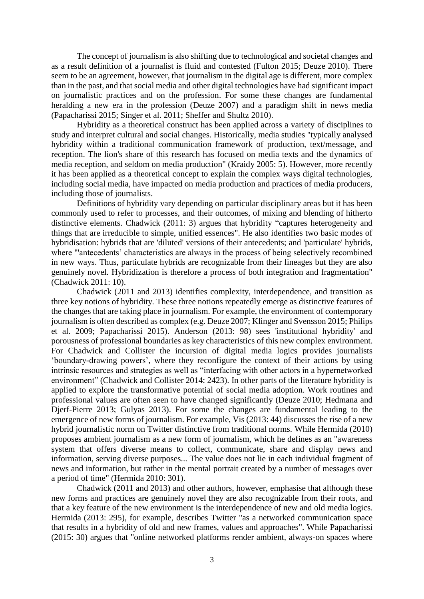The concept of journalism is also shifting due to technological and societal changes and as a result definition of a journalist is fluid and contested (Fulton 2015; Deuze 2010). There seem to be an agreement, however, that journalism in the digital age is different, more complex than in the past, and that social media and other digital technologies have had significant impact on journalistic practices and on the profession. For some these changes are fundamental heralding a new era in the profession (Deuze 2007) and a paradigm shift in news media (Papacharissi 2015; Singer et al. 2011; Sheffer and Shultz 2010).

Hybridity as a theoretical construct has been applied across a variety of disciplines to study and interpret cultural and social changes. Historically, media studies "typically analysed hybridity within a traditional communication framework of production, text/message, and reception. The lion's share of this research has focused on media texts and the dynamics of media reception, and seldom on media production" (Kraidy 2005: 5). However, more recently it has been applied as a theoretical concept to explain the complex ways digital technologies, including social media, have impacted on media production and practices of media producers, including those of journalists.

Definitions of hybridity vary depending on particular disciplinary areas but it has been commonly used to refer to processes, and their outcomes, of mixing and blending of hitherto distinctive elements. Chadwick (2011: 3) argues that hybridity "captures heterogeneity and things that are irreducible to simple, unified essences". He also identifies two basic modes of hybridisation: hybrids that are 'diluted' versions of their antecedents; and 'particulate' hybrids, where "'antecedents' characteristics are always in the process of being selectively recombined in new ways. Thus, particulate hybrids are recognizable from their lineages but they are also genuinely novel. Hybridization is therefore a process of both integration and fragmentation" (Chadwick 2011: 10).

Chadwick (2011 and 2013) identifies complexity, interdependence, and transition as three key notions of hybridity. These three notions repeatedly emerge as distinctive features of the changes that are taking place in journalism. For example, the environment of contemporary journalism is often described as complex (e.g. Deuze 2007; Klinger and Svensson 2015; Philips et al. 2009; Papacharissi 2015). Anderson (2013: 98) sees 'institutional hybridity' and porousness of professional boundaries as key characteristics of this new complex environment. For Chadwick and Collister the incursion of digital media logics provides journalists 'boundary-drawing powers', where they reconfigure the context of their actions by using intrinsic resources and strategies as well as "interfacing with other actors in a hypernetworked environment" (Chadwick and Collister 2014: 2423). In other parts of the literature hybridity is applied to explore the transformative potential of social media adoption. Work routines and professional values are often seen to have changed significantly (Deuze 2010; Hedmana and Djerf-Pierre 2013; Gulyas 2013). For some the changes are fundamental leading to the emergence of new forms of journalism. For example, Vis (2013: 44) discusses the rise of a new hybrid journalistic norm on Twitter distinctive from traditional norms. While Hermida (2010) proposes ambient journalism as a new form of journalism, which he defines as an "awareness system that offers diverse means to collect, communicate, share and display news and information, serving diverse purposes... The value does not lie in each individual fragment of news and information, but rather in the mental portrait created by a number of messages over a period of time" (Hermida 2010: 301).

Chadwick (2011 and 2013) and other authors, however, emphasise that although these new forms and practices are genuinely novel they are also recognizable from their roots, and that a key feature of the new environment is the interdependence of new and old media logics. Hermida (2013: 295), for example, describes Twitter "as a networked communication space that results in a hybridity of old and new frames, values and approaches". While Papacharissi (2015: 30) argues that "online networked platforms render ambient, always-on spaces where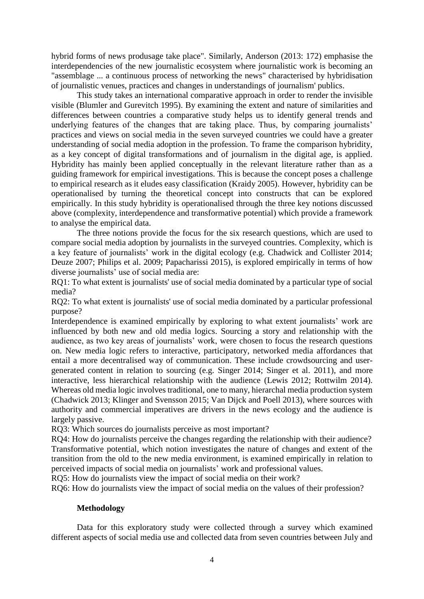hybrid forms of news produsage take place". Similarly, Anderson (2013: 172) emphasise the interdependencies of the new journalistic ecosystem where journalistic work is becoming an "assemblage ... a continuous process of networking the news" characterised by hybridisation of journalistic venues, practices and changes in understandings of journalism' publics.

This study takes an international comparative approach in order to render the invisible visible (Blumler and Gurevitch 1995). By examining the extent and nature of similarities and differences between countries a comparative study helps us to identify general trends and underlying features of the changes that are taking place. Thus, by comparing journalists' practices and views on social media in the seven surveyed countries we could have a greater understanding of social media adoption in the profession. To frame the comparison hybridity, as a key concept of digital transformations and of journalism in the digital age, is applied. Hybridity has mainly been applied conceptually in the relevant literature rather than as a guiding framework for empirical investigations. This is because the concept poses a challenge to empirical research as it eludes easy classification (Kraidy 2005). However, hybridity can be operationalised by turning the theoretical concept into constructs that can be explored empirically. In this study hybridity is operationalised through the three key notions discussed above (complexity, interdependence and transformative potential) which provide a framework to analyse the empirical data.

The three notions provide the focus for the six research questions, which are used to compare social media adoption by journalists in the surveyed countries. Complexity, which is a key feature of journalists' work in the digital ecology (e.g. Chadwick and Collister 2014; Deuze 2007; Philips et al. 2009; Papacharissi 2015), is explored empirically in terms of how diverse journalists' use of social media are:

RQ1: To what extent is journalists' use of social media dominated by a particular type of social media?

RQ2: To what extent is journalists' use of social media dominated by a particular professional purpose?

Interdependence is examined empirically by exploring to what extent journalists' work are influenced by both new and old media logics. Sourcing a story and relationship with the audience, as two key areas of journalists' work, were chosen to focus the research questions on. New media logic refers to interactive, participatory, networked media affordances that entail a more decentralised way of communication. These include crowdsourcing and usergenerated content in relation to sourcing (e.g. Singer 2014; Singer et al. 2011), and more interactive, less hierarchical relationship with the audience (Lewis 2012; Rottwilm 2014). Whereas old media logic involves traditional, one to many, hierarchal media production system (Chadwick 2013; Klinger and Svensson 2015; Van Dijck and Poell 2013), where sources with authority and commercial imperatives are drivers in the news ecology and the audience is largely passive.

RQ3: Which sources do journalists perceive as most important?

RQ4: How do journalists perceive the changes regarding the relationship with their audience? Transformative potential, which notion investigates the nature of changes and extent of the transition from the old to the new media environment, is examined empirically in relation to perceived impacts of social media on journalists' work and professional values.

RQ5: How do journalists view the impact of social media on their work?

RQ6: How do journalists view the impact of social media on the values of their profession?

# **Methodology**

Data for this exploratory study were collected through a survey which examined different aspects of social media use and collected data from seven countries between July and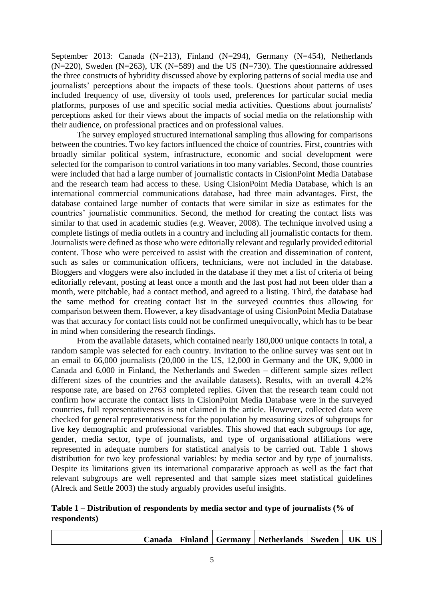September 2013: Canada (N=213), Finland (N=294), Germany (N=454), Netherlands  $(N=220)$ , Sweden  $(N=263)$ , UK  $(N=589)$  and the US  $(N=730)$ . The questionnaire addressed the three constructs of hybridity discussed above by exploring patterns of social media use and journalists' perceptions about the impacts of these tools. Questions about patterns of uses included frequency of use, diversity of tools used, preferences for particular social media platforms, purposes of use and specific social media activities. Questions about journalists' perceptions asked for their views about the impacts of social media on the relationship with their audience, on professional practices and on professional values.

The survey employed structured international sampling thus allowing for comparisons between the countries. Two key factors influenced the choice of countries. First, countries with broadly similar political system, infrastructure, economic and social development were selected for the comparison to control variations in too many variables. Second, those countries were included that had a large number of journalistic contacts in CisionPoint Media Database and the research team had access to these. Using CisionPoint Media Database, which is an international commercial communications database, had three main advantages. First, the database contained large number of contacts that were similar in size as estimates for the countries' journalistic communities. Second, the method for creating the contact lists was similar to that used in academic studies (e.g. Weaver, 2008). The technique involved using a complete listings of media outlets in a country and including all journalistic contacts for them. Journalists were defined as those who were editorially relevant and regularly provided editorial content. Those who were perceived to assist with the creation and dissemination of content, such as sales or communication officers, technicians, were not included in the database. Bloggers and vloggers were also included in the database if they met a list of criteria of being editorially relevant, posting at least once a month and the last post had not been older than a month, were pitchable, had a contact method, and agreed to a listing. Third, the database had the same method for creating contact list in the surveyed countries thus allowing for comparison between them. However, a key disadvantage of using CisionPoint Media Database was that accuracy for contact lists could not be confirmed unequivocally, which has to be bear in mind when considering the research findings.

 From the available datasets, which contained nearly 180,000 unique contacts in total, a random sample was selected for each country. Invitation to the online survey was sent out in an email to 66,000 journalists (20,000 in the US, 12,000 in Germany and the UK, 9,000 in Canada and 6,000 in Finland, the Netherlands and Sweden – different sample sizes reflect different sizes of the countries and the available datasets). Results, with an overall 4.2% response rate, are based on 2763 completed replies. Given that the research team could not confirm how accurate the contact lists in CisionPoint Media Database were in the surveyed countries, full representativeness is not claimed in the article. However, collected data were checked for general representativeness for the population by measuring sizes of subgroups for five key demographic and professional variables. This showed that each subgroups for age, gender, media sector, type of journalists, and type of organisational affiliations were represented in adequate numbers for statistical analysis to be carried out. Table 1 shows distribution for two key professional variables: by media sector and by type of journalists. Despite its limitations given its international comparative approach as well as the fact that relevant subgroups are well represented and that sample sizes meet statistical guidelines (Alreck and Settle 2003) the study arguably provides useful insights.

# **Table 1 – Distribution of respondents by media sector and type of journalists (% of respondents)**

|  |  | ∠anada | <b>Finland</b> | <b>Germany</b> | <b>Netherlands</b> | J Sweden , | IK I |  |
|--|--|--------|----------------|----------------|--------------------|------------|------|--|
|--|--|--------|----------------|----------------|--------------------|------------|------|--|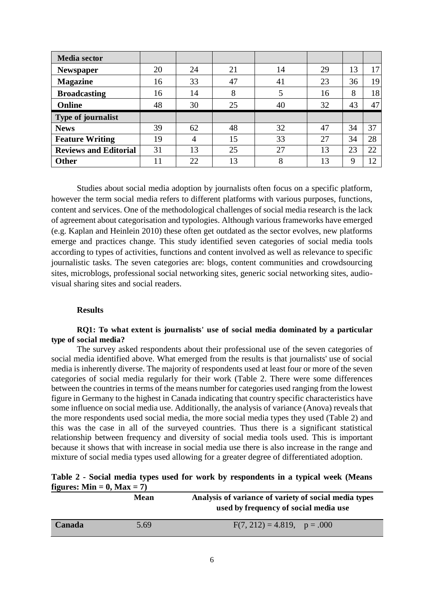| <b>Media</b> sector          |    |    |    |    |    |    |        |
|------------------------------|----|----|----|----|----|----|--------|
| <b>Newspaper</b>             | 20 | 24 | 21 | 14 | 29 | 13 | 17     |
| <b>Magazine</b>              | 16 | 33 | 47 | 41 | 23 | 36 | 19     |
| <b>Broadcasting</b>          | 16 | 14 | 8  | 5  | 16 | 8  | 18     |
| <b>Online</b>                | 48 | 30 | 25 | 40 | 32 | 43 | 47     |
| Type of journalist           |    |    |    |    |    |    |        |
| <b>News</b>                  | 39 | 62 | 48 | 32 | 47 | 34 | 37     |
| <b>Feature Writing</b>       | 19 | 4  | 15 | 33 | 27 | 34 | 28     |
| <b>Reviews and Editorial</b> | 31 | 13 | 25 | 27 | 13 | 23 | 22     |
| <b>Other</b>                 | 11 | 22 | 13 | 8  | 13 | 9  | $\cap$ |

Studies about social media adoption by journalists often focus on a specific platform, however the term social media refers to different platforms with various purposes, functions, content and services. One of the methodological challenges of social media research is the lack of agreement about categorisation and typologies. Although various frameworks have emerged (e.g. Kaplan and Heinlein 2010) these often get outdated as the sector evolves, new platforms emerge and practices change. This study identified seven categories of social media tools according to types of activities, functions and content involved as well as relevance to specific journalistic tasks. The seven categories are: blogs, content communities and crowdsourcing sites, microblogs, professional social networking sites, generic social networking sites, audiovisual sharing sites and social readers.

## **Results**

# **RQ1: To what extent is journalists' use of social media dominated by a particular type of social media?**

The survey asked respondents about their professional use of the seven categories of social media identified above. What emerged from the results is that journalists' use of social media is inherently diverse. The majority of respondents used at least four or more of the seven categories of social media regularly for their work (Table 2. There were some differences between the countries in terms of the means number for categories used ranging from the lowest figure in Germany to the highest in Canada indicating that country specific characteristics have some influence on social media use. Additionally, the analysis of variance (Anova) reveals that the more respondents used social media, the more social media types they used (Table 2) and this was the case in all of the surveyed countries. Thus there is a significant statistical relationship between frequency and diversity of social media tools used. This is important because it shows that with increase in social media use there is also increase in the range and mixture of social media types used allowing for a greater degree of differentiated adoption.

# **Table 2 - Social media types used for work by respondents in a typical week (Means** figures:  $Min = 0$ ,  $Max = 7$

|        | Mean | Analysis of variance of variety of social media types<br>used by frequency of social media use |
|--------|------|------------------------------------------------------------------------------------------------|
| Canada | 5.69 | $F(7, 212) = 4.819$ , $p = .000$                                                               |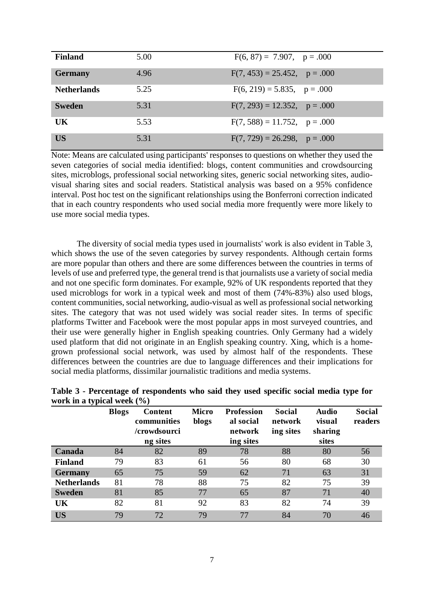| <b>Finland</b>     | 5.00 | $F(6, 87) = 7.907$ , $p = .000$   |
|--------------------|------|-----------------------------------|
| <b>Germany</b>     | 4.96 | $F(7, 453) = 25.452$ , $p = .000$ |
| <b>Netherlands</b> | 5.25 | $F(6, 219) = 5.835$ , $p = .000$  |
| <b>Sweden</b>      | 5.31 | $F(7, 293) = 12.352$ , $p = .000$ |
| UK                 | 5.53 | $F(7, 588) = 11.752$ , $p = .000$ |
| <b>US</b>          | 5.31 | $F(7, 729) = 26.298$ , $p = .000$ |

Note: Means are calculated using participants' responses to questions on whether they used the seven categories of social media identified: blogs, content communities and crowdsourcing sites, microblogs, professional social networking sites, generic social networking sites, audiovisual sharing sites and social readers. Statistical analysis was based on a 95% confidence interval. Post hoc test on the significant relationships using the Bonferroni correction indicated that in each country respondents who used social media more frequently were more likely to use more social media types.

The diversity of social media types used in journalists' work is also evident in Table 3, which shows the use of the seven categories by survey respondents. Although certain forms are more popular than others and there are some differences between the countries in terms of levels of use and preferred type, the general trend is that journalists use a variety of social media and not one specific form dominates. For example, 92% of UK respondents reported that they used microblogs for work in a typical week and most of them (74%-83%) also used blogs, content communities, social networking, audio-visual as well as professional social networking sites. The category that was not used widely was social reader sites. In terms of specific platforms Twitter and Facebook were the most popular apps in most surveyed countries, and their use were generally higher in English speaking countries. Only Germany had a widely used platform that did not originate in an English speaking country. Xing, which is a homegrown professional social network, was used by almost half of the respondents. These differences between the countries are due to language differences and their implications for social media platforms, dissimilar journalistic traditions and media systems.

|                    | <b>Blogs</b> | Content<br>communities<br>/crowdsourci<br>ng sites | Micro<br>blogs | <b>Profession</b><br>al social<br>network<br>ing sites | <b>Social</b><br>network<br>ing sites | <b>Audio</b><br>visual<br>sharing<br>sites | <b>Social</b><br>readers |
|--------------------|--------------|----------------------------------------------------|----------------|--------------------------------------------------------|---------------------------------------|--------------------------------------------|--------------------------|
| Canada             | 84           | 82                                                 | 89             | 78                                                     | 88                                    | 80                                         | 56                       |
| <b>Finland</b>     | 79           | 83                                                 | 61             | 56                                                     | 80                                    | 68                                         | 30                       |
| <b>Germany</b>     | 65           | 75                                                 | 59             | 62                                                     | 71                                    | 63                                         | 31                       |
| <b>Netherlands</b> | 81           | 78                                                 | 88             | 75                                                     | 82                                    | 75                                         | 39                       |
| <b>Sweden</b>      | 81           | 85                                                 | 77             | 65                                                     | 87                                    | 71                                         | 40                       |
| UK                 | 82           | 81                                                 | 92             | 83                                                     | 82                                    | 74                                         | 39                       |
| <b>US</b>          | 79           | 72                                                 | 79             | 77                                                     | 84                                    | 70                                         | 46                       |

|                                | Table 3 - Percentage of respondents who said they used specific social media type for |  |  |  |  |  |
|--------------------------------|---------------------------------------------------------------------------------------|--|--|--|--|--|
| work in a typical week $(\% )$ |                                                                                       |  |  |  |  |  |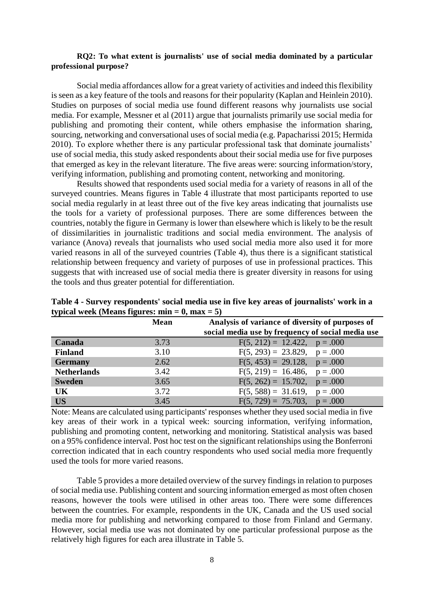## **RQ2: To what extent is journalists' use of social media dominated by a particular professional purpose?**

Social media affordances allow for a great variety of activities and indeed this flexibility is seen as a key feature of the tools and reasons for their popularity (Kaplan and Heinlein 2010). Studies on purposes of social media use found different reasons why journalists use social media. For example, Messner et al (2011) argue that journalists primarily use social media for publishing and promoting their content, while others emphasise the information sharing, sourcing, networking and conversational uses of social media (e.g. Papacharissi 2015; Hermida 2010). To explore whether there is any particular professional task that dominate journalists' use of social media, this study asked respondents about their social media use for five purposes that emerged as key in the relevant literature. The five areas were: sourcing information/story, verifying information, publishing and promoting content, networking and monitoring.

Results showed that respondents used social media for a variety of reasons in all of the surveyed countries. Means figures in Table 4 illustrate that most participants reported to use social media regularly in at least three out of the five key areas indicating that journalists use the tools for a variety of professional purposes. There are some differences between the countries, notably the figure in Germany is lower than elsewhere which is likely to be the result of dissimilarities in journalistic traditions and social media environment. The analysis of variance (Anova) reveals that journalists who used social media more also used it for more varied reasons in all of the surveyed countries (Table 4), thus there is a significant statistical relationship between frequency and variety of purposes of use in professional practices. This suggests that with increased use of social media there is greater diversity in reasons for using the tools and thus greater potential for differentiation.

| .                  |             |                                                                                                       |
|--------------------|-------------|-------------------------------------------------------------------------------------------------------|
|                    | <b>Mean</b> | Analysis of variance of diversity of purposes of<br>social media use by frequency of social media use |
| Canada             | 3.73        | $F(5, 212) = 12.422$ , $p = .000$                                                                     |
| <b>Finland</b>     | 3.10        | $F(5, 293) = 23.829$ , $p = .000$                                                                     |
| <b>Germany</b>     | 2.62        | $F(5, 453) = 29.128$ , $p = .000$                                                                     |
| <b>Netherlands</b> | 3.42        | $F(5, 219) = 16.486$ , $p = .000$                                                                     |
| <b>Sweden</b>      | 3.65        | $F(5, 262) = 15.702$ , $p = .000$                                                                     |
| <b>UK</b>          | 3.72        | $F(5, 588) = 31.619$ , $p = .000$                                                                     |
| <b>US</b>          | 3.45        | $F(5, 729) = 75.703$ , $p = .000$                                                                     |

**Table 4 - Survey respondents' social media use in five key areas of journalists' work in a typical week (Means figures: min = 0, max = 5)** 

Note: Means are calculated using participants' responses whether they used social media in five key areas of their work in a typical week: sourcing information, verifying information, publishing and promoting content, networking and monitoring. Statistical analysis was based on a 95% confidence interval. Post hoc test on the significant relationships using the Bonferroni correction indicated that in each country respondents who used social media more frequently used the tools for more varied reasons.

Table 5 provides a more detailed overview of the survey findings in relation to purposes of social media use. Publishing content and sourcing information emerged as most often chosen reasons, however the tools were utilised in other areas too. There were some differences between the countries. For example, respondents in the UK, Canada and the US used social media more for publishing and networking compared to those from Finland and Germany. However, social media use was not dominated by one particular professional purpose as the relatively high figures for each area illustrate in Table 5.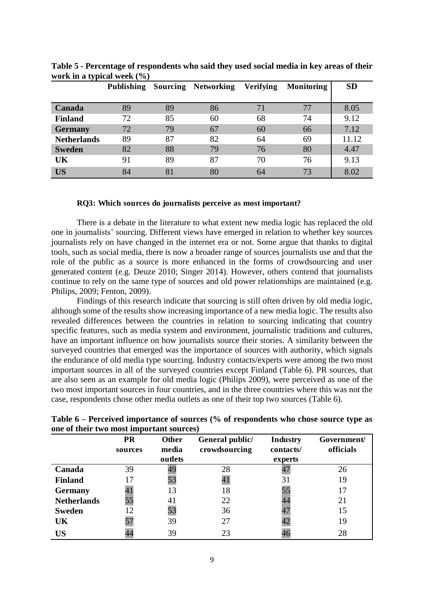| ~ ⊥                | <b>Publishing</b> |    | <b>Sourcing Networking</b> | Verifying | <b>Monitoring</b> | <b>SD</b> |
|--------------------|-------------------|----|----------------------------|-----------|-------------------|-----------|
| Canada             | 89                | 89 | 86                         | 71        | 77                | 8.05      |
| <b>Finland</b>     | 72                | 85 | 60                         | 68        | 74                | 9.12      |
| <b>Germany</b>     | 72                | 79 | 67                         | 60        | 66                | 7.12      |
| <b>Netherlands</b> | 89                | 87 | 82                         | 64        | 69                | 11.12     |
| <b>Sweden</b>      | 82                | 88 | 79                         | 76        | 80                | 4.47      |
| UK                 | 91                | 89 | 87                         | 70        | 76                | 9.13      |
| <b>US</b>          | 84                | 81 | 80                         | 64        | 73                | 8.02      |

**Table 5 - Percentage of respondents who said they used social media in key areas of their work in a typical week (%)** 

#### **RQ3: Which sources do journalists perceive as most important?**

There is a debate in the literature to what extent new media logic has replaced the old one in journalists' sourcing. Different views have emerged in relation to whether key sources journalists rely on have changed in the internet era or not. Some argue that thanks to digital tools, such as social media, there is now a broader range of sources journalists use and that the role of the public as a source is more enhanced in the forms of crowdsourcing and user generated content (e.g. Deuze 2010; Singer 2014). However, others contend that journalists continue to rely on the same type of sources and old power relationships are maintained (e.g. Philips, 2009; Fenton, 2009).

Findings of this research indicate that sourcing is still often driven by old media logic, although some of the results show increasing importance of a new media logic. The results also revealed differences between the countries in relation to sourcing indicating that country specific features, such as media system and environment, journalistic traditions and cultures, have an important influence on how journalists source their stories. A similarity between the surveyed countries that emerged was the importance of sources with authority, which signals the endurance of old media type sourcing. Industry contacts/experts were among the two most important sources in all of the surveyed countries except Finland (Table 6). PR sources, that are also seen as an example for old media logic (Philips 2009), were perceived as one of the two most important sources in four countries, and in the three countries where this was not the case, respondents chose other media outlets as one of their top two sources (Table 6).

|                    | <b>PR</b><br>sources | <b>Other</b><br>media | General public/<br>crowdsourcing | <b>Industry</b><br>contacts/ | Government/<br>officials |
|--------------------|----------------------|-----------------------|----------------------------------|------------------------------|--------------------------|
|                    |                      | outlets               |                                  | experts                      |                          |
| Canada             | 39                   | 49                    | 28                               | 47                           | 26                       |
| <b>Finland</b>     | 17                   | 53                    | 41                               | 31                           | 19                       |
| <b>Germany</b>     | 41                   | 13                    | 18                               | 55                           | 17                       |
| <b>Netherlands</b> | 55                   | 41                    | 22                               | 44                           | 21                       |
| <b>Sweden</b>      | 12                   | 53                    | 36                               | 47                           | 15                       |
| UK                 | 57                   | 39                    | 27                               | 42                           | 19                       |
| US                 |                      | 39                    | 23                               | 46                           | 28                       |

**Table 6 – Perceived importance of sources (% of respondents who chose source type as one of their two most important sources)**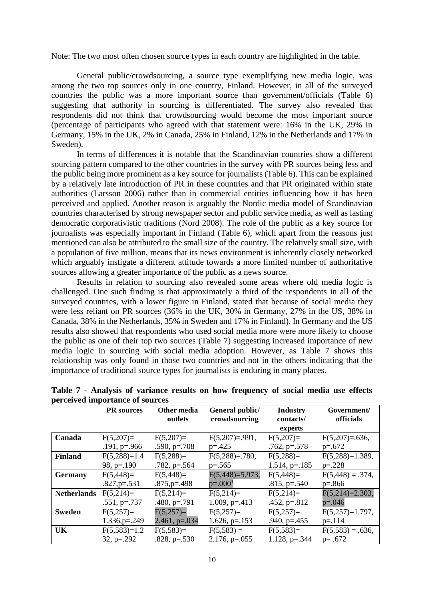Note: The two most often chosen source types in each country are highlighted in the table.

General public/crowdsourcing, a source type exemplifying new media logic, was among the two top sources only in one country, Finland. However, in all of the surveyed countries the public was a more important source than government/officials (Table 6) suggesting that authority in sourcing is differentiated. The survey also revealed that respondents did not think that crowdsourcing would become the most important source (percentage of participants who agreed with that statement were: 16% in the UK, 29% in Germany, 15% in the UK, 2% in Canada, 25% in Finland, 12% in the Netherlands and 17% in Sweden).

In terms of differences it is notable that the Scandinavian countries show a different sourcing pattern compared to the other countries in the survey with PR sources being less and the public being more prominent as a key source for journalists (Table 6). This can be explained by a relatively late introduction of PR in these countries and that PR originated within state authorities (Larsson 2006) rather than in commercial entities influencing how it has been perceived and applied. Another reason is arguably the Nordic media model of Scandinavian countries characterised by strong newspaper sector and public service media, as well as lasting democratic corporativistic traditions (Nord 2008). The role of the public as a key source for journalists was especially important in Finland (Table 6), which apart from the reasons just mentioned can also be attributed to the small size of the country. The relatively small size, with a population of five million, means that its news environment is inherently closely networked which arguably instigate a different attitude towards a more limited number of authoritative sources allowing a greater importance of the public as a news source.

Results in relation to sourcing also revealed some areas where old media logic is challenged. One such finding is that approximately a third of the respondents in all of the surveyed countries, with a lower figure in Finland, stated that because of social media they were less reliant on PR sources (36% in the UK, 30% in Germany, 27% in the US, 38% in Canada, 38% in the Netherlands, 35% in Sweden and 17% in Finland). In Germany and the US results also showed that respondents who used social media more were more likely to choose the public as one of their top two sources (Table 7) suggesting increased importance of new media logic in sourcing with social media adoption. However, as Table 7 shows this relationship was only found in those two countries and not in the others indicating that the importance of traditional source types for journalists is enduring in many places.

|                    | <b>PR</b> sources     | Other media<br>outlets | General public/<br>crowdsourcing | <b>Industry</b><br>contacts/ | Government/<br>officials |
|--------------------|-----------------------|------------------------|----------------------------------|------------------------------|--------------------------|
|                    |                       |                        |                                  | experts                      |                          |
| Canada             | $F(5,207)=$           | $F(5,207)=$            | $F(5,207)=.991$ ,                | $F(5,207)=$                  | $F(5,207)=0.636$ ,       |
|                    | $.191, p=.966$        | $.590, p=.708$         | $p = 0.425$                      | $.762$ , p= $.578$           | $p=.672$                 |
| <b>Finland</b>     | $F(5,288)=1.4$        | $F(5,288)=$            | $F(5,288)=.780,$                 | $F(5,288)=$                  | $F(5,288)=1.389$ ,       |
|                    | 98, $p=.190$          | $.782, p=.564$         | $p=.565$                         | $1.514$ , p=.185             | $p=.228$                 |
| <b>Germany</b>     | $F(5,448)=$           | $F(5,448)=$            | $F(5,448)=5.973,$                | $F(5,448)=$                  | $F(5,448) = .374,$       |
|                    | $.827, p=.531$        | $.875, p=.498$         | $p=.0001$                        | $.815, p=.540$               | $p=.866$                 |
| <b>Netherlands</b> | $F(5,214)=$           | $F(5,214)=$            | $F(5,214)=$                      | $F(5,214)=$                  | $F(5,214)=2.303,$        |
|                    | $.551, p=.737$        | $.480, p=.791$         | $1.009$ , p=.413                 | $.452, p=.812$               | $p=.046$                 |
| <b>Sweden</b>      | $F(5,257)=$           | $F(5,257)=$            | $F(5,257)=$                      | $F(5,257)=$                  | $F(5,257)=1.797$ ,       |
|                    | $1.336$ , $p = 0.249$ | $2.461$ , p=.034       | 1.626, $p=.153$                  | $.940, p=.455$               | $p = 114$                |
| UK                 | $F(5,583)=1.2$        | $F(5,583)=$            | $F(5,583) =$                     | $F(5,583)=$                  | $F(5,583) = .636$ ,      |
|                    | $32, p=.292$          | $.828, p=.530$         | $2.176$ , p=.055                 | $1.128$ , p=.344             | $p = .672$               |

**Table 7 - Analysis of variance results on how frequency of social media use effects perceived importance of sources**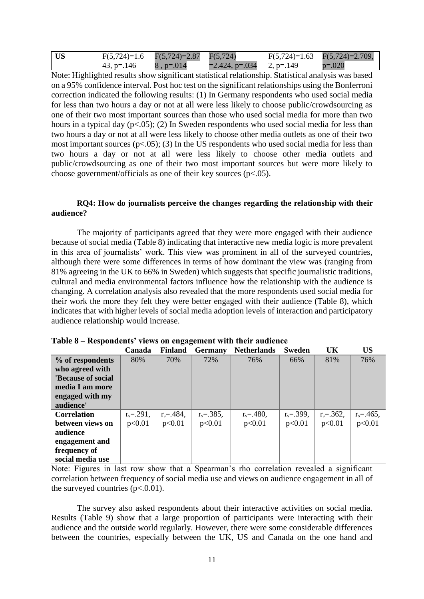| <b>US</b> |            | $F(5,724)=1.6$ $F(5,724)=2.87$ $F(5,724)$ |                             | $F(5,724)=1.63$ $F(5,724)=2.709$ , |
|-----------|------------|-------------------------------------------|-----------------------------|------------------------------------|
|           | 43, p=.146 | $8, p = 0.014$                            | $=2.424$ , p=.034 2, p=.149 | $p=.020$                           |

Note: Highlighted results show significant statistical relationship. Statistical analysis was based on a 95% confidence interval. Post hoc test on the significant relationships using the Bonferroni correction indicated the following results: (1) In Germany respondents who used social media for less than two hours a day or not at all were less likely to choose public/crowdsourcing as one of their two most important sources than those who used social media for more than two hours in a typical day  $(p<.05)$ ; (2) In Sweden respondents who used social media for less than two hours a day or not at all were less likely to choose other media outlets as one of their two most important sources  $(p<.05)$ ; (3) In the US respondents who used social media for less than two hours a day or not at all were less likely to choose other media outlets and public/crowdsourcing as one of their two most important sources but were more likely to choose government/officials as one of their key sources (p<.05).

# **RQ4: How do journalists perceive the changes regarding the relationship with their audience?**

The majority of participants agreed that they were more engaged with their audience because of social media (Table 8) indicating that interactive new media logic is more prevalent in this area of journalists' work. This view was prominent in all of the surveyed countries, although there were some differences in terms of how dominant the view was (ranging from 81% agreeing in the UK to 66% in Sweden) which suggests that specific journalistic traditions, cultural and media environmental factors influence how the relationship with the audience is changing. A correlation analysis also revealed that the more respondents used social media for their work the more they felt they were better engaged with their audience (Table 8), which indicates that with higher levels of social media adoption levels of interaction and participatory audience relationship would increase.

|                    | Canada        | <b>Finland</b> | <b>Germany</b> | <b>Netherlands</b> | Sweden         | UK           | <b>US</b>     |
|--------------------|---------------|----------------|----------------|--------------------|----------------|--------------|---------------|
| % of respondents   | 80%           | 70%            | 72%            | 76%                | 66%            | 81%          | 76%           |
| who agreed with    |               |                |                |                    |                |              |               |
| 'Because of social |               |                |                |                    |                |              |               |
| media I am more    |               |                |                |                    |                |              |               |
| engaged with my    |               |                |                |                    |                |              |               |
| audience'          |               |                |                |                    |                |              |               |
| <b>Correlation</b> | $r_s = 291$ , | $r_s = 484$ ,  | $r_s = 385$ ,  | $r_s = 480$ ,      | $r_s = .399$ , | $r_s = 362.$ | $r_s = 465$ , |
| between views on   | p<0.01        | p<0.01         | p<0.01         | p<0.01             | p<0.01         | p<0.01       | p<0.01        |
| audience           |               |                |                |                    |                |              |               |
| engagement and     |               |                |                |                    |                |              |               |
| frequency of       |               |                |                |                    |                |              |               |
| social media use   |               |                |                |                    |                |              |               |

## **Table 8 – Respondents' views on engagement with their audience**

Note: Figures in last row show that a Spearman's rho correlation revealed a significant correlation between frequency of social media use and views on audience engagement in all of the surveyed countries  $(p<.0.01)$ .

The survey also asked respondents about their interactive activities on social media. Results (Table 9) show that a large proportion of participants were interacting with their audience and the outside world regularly. However, there were some considerable differences between the countries, especially between the UK, US and Canada on the one hand and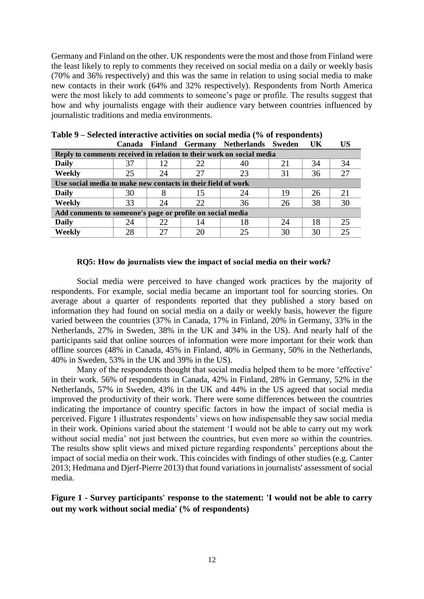Germany and Finland on the other. UK respondents were the most and those from Finland were the least likely to reply to comments they received on social media on a daily or weekly basis (70% and 36% respectively) and this was the same in relation to using social media to make new contacts in their work (64% and 32% respectively). Respondents from North America were the most likely to add comments to someone's page or profile. The results suggest that how and why journalists engage with their audience vary between countries influenced by journalistic traditions and media environments.

|                                                                      | <b>Canada</b> |    |    | Finland Germany Netherlands Sweden |    | UK | <b>US</b> |  |  |  |  |  |
|----------------------------------------------------------------------|---------------|----|----|------------------------------------|----|----|-----------|--|--|--|--|--|
| Reply to comments received in relation to their work on social media |               |    |    |                                    |    |    |           |  |  |  |  |  |
| <b>Daily</b>                                                         | 37            | 12 | 22 | 40                                 | 21 | 34 | 34        |  |  |  |  |  |
| Weekly                                                               | 25            | 24 | 27 | 23                                 | 31 | 36 | 27        |  |  |  |  |  |
| Use social media to make new contacts in their field of work         |               |    |    |                                    |    |    |           |  |  |  |  |  |
| <b>Daily</b>                                                         | 30            |    | 15 | 24                                 | 19 | 26 | 21        |  |  |  |  |  |
| Weekly                                                               | 33            | 24 | 22 | 36                                 | 26 | 38 | 30        |  |  |  |  |  |
| Add comments to someone's page or profile on social media            |               |    |    |                                    |    |    |           |  |  |  |  |  |
| <b>Daily</b>                                                         | 24            | 22 | 14 | 18                                 | 24 | 18 | 25        |  |  |  |  |  |
| Weekly                                                               | 28            |    | 20 | 25                                 | 30 | 30 | 25        |  |  |  |  |  |

| Table 9 – Selected interactive activities on social media (% of respondents) |  |                                               |  |
|------------------------------------------------------------------------------|--|-----------------------------------------------|--|
|                                                                              |  | Canada Finland Cermany Netherlands Sweden IIK |  |

## **RQ5: How do journalists view the impact of social media on their work?**

Social media were perceived to have changed work practices by the majority of respondents. For example, social media became an important tool for sourcing stories. On average about a quarter of respondents reported that they published a story based on information they had found on social media on a daily or weekly basis, however the figure varied between the countries (37% in Canada, 17% in Finland, 20% in Germany, 33% in the Netherlands, 27% in Sweden, 38% in the UK and 34% in the US). And nearly half of the participants said that online sources of information were more important for their work than offline sources (48% in Canada, 45% in Finland, 40% in Germany, 50% in the Netherlands, 40% in Sweden, 53% in the UK and 39% in the US).

Many of the respondents thought that social media helped them to be more 'effective' in their work. 56% of respondents in Canada, 42% in Finland, 28% in Germany, 52% in the Netherlands, 57% in Sweden, 43% in the UK and 44% in the US agreed that social media improved the productivity of their work. There were some differences between the countries indicating the importance of country specific factors in how the impact of social media is perceived. Figure 1 illustrates respondents' views on how indispensable they saw social media in their work. Opinions varied about the statement 'I would not be able to carry out my work without social media' not just between the countries, but even more so within the countries. The results show split views and mixed picture regarding respondents' perceptions about the impact of social media on their work. This coincides with findings of other studies (e.g. Canter 2013; Hedmana and Djerf-Pierre 2013) that found variations in journalists' assessment of social media.

# **Figure 1 - Survey participants' response to the statement: 'I would not be able to carry out my work without social media' (% of respondents)**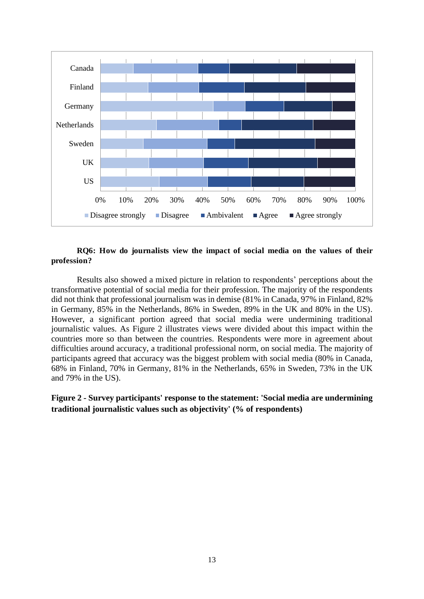

## **RQ6: How do journalists view the impact of social media on the values of their profession?**

Results also showed a mixed picture in relation to respondents' perceptions about the transformative potential of social media for their profession. The majority of the respondents did not think that professional journalism was in demise (81% in Canada, 97% in Finland, 82% in Germany, 85% in the Netherlands, 86% in Sweden, 89% in the UK and 80% in the US). However, a significant portion agreed that social media were undermining traditional journalistic values. As Figure 2 illustrates views were divided about this impact within the countries more so than between the countries. Respondents were more in agreement about difficulties around accuracy, a traditional professional norm, on social media. The majority of participants agreed that accuracy was the biggest problem with social media (80% in Canada, 68% in Finland, 70% in Germany, 81% in the Netherlands, 65% in Sweden, 73% in the UK and 79% in the US).

# **Figure 2 - Survey participants' response to the statement: 'Social media are undermining traditional journalistic values such as objectivity' (% of respondents)**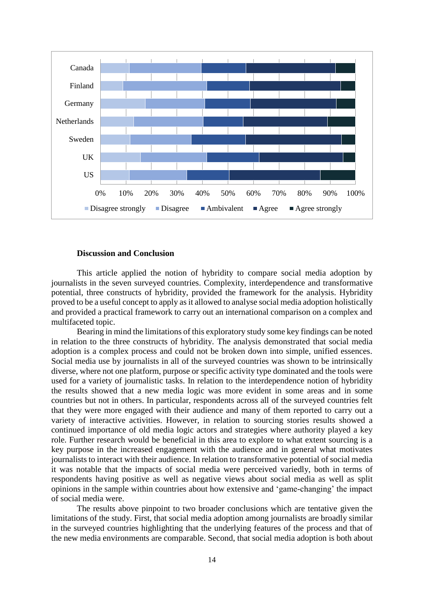

## **Discussion and Conclusion**

This article applied the notion of hybridity to compare social media adoption by journalists in the seven surveyed countries. Complexity, interdependence and transformative potential, three constructs of hybridity, provided the framework for the analysis. Hybridity proved to be a useful concept to apply as it allowed to analyse social media adoption holistically and provided a practical framework to carry out an international comparison on a complex and multifaceted topic.

Bearing in mind the limitations of this exploratory study some key findings can be noted in relation to the three constructs of hybridity. The analysis demonstrated that social media adoption is a complex process and could not be broken down into simple, unified essences. Social media use by journalists in all of the surveyed countries was shown to be intrinsically diverse, where not one platform, purpose or specific activity type dominated and the tools were used for a variety of journalistic tasks. In relation to the interdependence notion of hybridity the results showed that a new media logic was more evident in some areas and in some countries but not in others. In particular, respondents across all of the surveyed countries felt that they were more engaged with their audience and many of them reported to carry out a variety of interactive activities. However, in relation to sourcing stories results showed a continued importance of old media logic actors and strategies where authority played a key role. Further research would be beneficial in this area to explore to what extent sourcing is a key purpose in the increased engagement with the audience and in general what motivates journalists to interact with their audience. In relation to transformative potential of social media it was notable that the impacts of social media were perceived variedly, both in terms of respondents having positive as well as negative views about social media as well as split opinions in the sample within countries about how extensive and 'game-changing' the impact of social media were.

 The results above pinpoint to two broader conclusions which are tentative given the limitations of the study. First, that social media adoption among journalists are broadly similar in the surveyed countries highlighting that the underlying features of the process and that of the new media environments are comparable. Second, that social media adoption is both about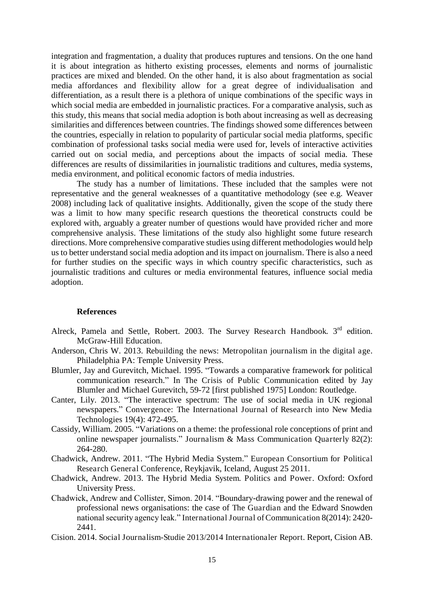integration and fragmentation, a duality that produces ruptures and tensions. On the one hand it is about integration as hitherto existing processes, elements and norms of journalistic practices are mixed and blended. On the other hand, it is also about fragmentation as social media affordances and flexibility allow for a great degree of individualisation and differentiation, as a result there is a plethora of unique combinations of the specific ways in which social media are embedded in journalistic practices. For a comparative analysis, such as this study, this means that social media adoption is both about increasing as well as decreasing similarities and differences between countries. The findings showed some differences between the countries, especially in relation to popularity of particular social media platforms, specific combination of professional tasks social media were used for, levels of interactive activities carried out on social media, and perceptions about the impacts of social media. These differences are results of dissimilarities in journalistic traditions and cultures, media systems, media environment, and political economic factors of media industries.

The study has a number of limitations. These included that the samples were not representative and the general weaknesses of a quantitative methodology (see e.g. Weaver 2008) including lack of qualitative insights. Additionally, given the scope of the study there was a limit to how many specific research questions the theoretical constructs could be explored with, arguably a greater number of questions would have provided richer and more comprehensive analysis. These limitations of the study also highlight some future research directions. More comprehensive comparative studies using different methodologies would help us to better understand social media adoption and its impact on journalism. There is also a need for further studies on the specific ways in which country specific characteristics, such as journalistic traditions and cultures or media environmental features, influence social media adoption.

## **References**

- Alreck, Pamela and Settle, Robert. 2003. The Survey Research Handbook. 3<sup>rd</sup> edition. McGraw-Hill Education.
- Anderson, Chris W. 2013. Rebuilding the news: Metropolitan journalism in the digital age. Philadelphia PA: Temple University Press.
- Blumler, Jay and Gurevitch, Michael. 1995. "Towards a comparative framework for political communication research." In The Crisis of Public Communication edited by Jay Blumler and Michael Gurevitch, 59-72 [first published 1975] London: Routledge.
- Canter, Lily. 2013. "The interactive spectrum: The use of social media in UK regional newspapers." Convergence: The International Journal of Research into New Media Technologies 19(4): 472-495.
- Cassidy, William. 2005. "Variations on a theme: the professional role conceptions of print and online newspaper journalists." Journalism & Mass Communication Quarterly 82(2): 264-280.
- Chadwick, Andrew. 2011. "The Hybrid Media System." European Consortium for Political Research General Conference, Reykjavik, Iceland, August 25 2011.
- Chadwick, Andrew. 2013. The Hybrid Media System. Politics and Power. Oxford: Oxford University Press.
- Chadwick, Andrew and Collister, Simon. 2014. "Boundary-drawing power and the renewal of professional news organisations: the case of The Guardian and the Edward Snowden national security agency leak." International Journal of Communication 8(2014): 2420- 2441.
- Cision. 2014. Social Journalism-Studie 2013/2014 Internationaler Report. Report, Cision AB.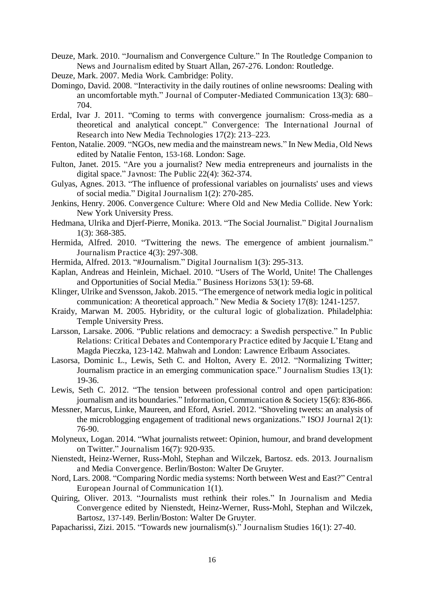- Deuze, Mark. 2010. "Journalism and Convergence Culture." In The Routledge Companion to News and Journalism edited by Stuart Allan, 267-276. London: Routledge.
- Deuze, Mark. 2007. Media Work. Cambridge: Polity.
- Domingo, David. 2008. "Interactivity in the daily routines of online newsrooms: Dealing with an uncomfortable myth." Journal of Computer-Mediated Communication 13(3): 680– 704.
- Erdal, Ivar J. 2011. "Coming to terms with convergence journalism: Cross-media as a theoretical and analytical concept." Convergence: The International Journal of Research into New Media Technologies 17(2): 213–223.
- Fenton, Natalie. 2009. "NGOs, new media and the mainstream news." In New Media, Old News edited by Natalie Fenton, 153-168. London: Sage.
- Fulton, Janet. 2015. "Are you a journalist? New media entrepreneurs and journalists in the digital space." Javnost: The Public 22(4): 362-374.
- Gulyas, Agnes. 2013. "The influence of professional variables on journalists' uses and views of social media." Digital Journalism 1(2): 270-285.
- Jenkins, Henry. 2006. Convergence Culture: Where Old and New Media Collide. New York: New York University Press.
- Hedmana, Ulrika and Djerf-Pierre, Monika. 2013. "The Social Journalist." Digital Journalism 1(3): 368-385.
- Hermida, Alfred. 2010. "Twittering the news. The emergence of ambient journalism." Journalism Practice 4(3): 297-308.
- Hermida, Alfred. 2013. "#Journalism." Digital Journalism 1(3): 295-313.
- Kaplan, Andreas and Heinlein, Michael. 2010. "Users of The World, Unite! The Challenges and Opportunities of Social Media." Business Horizons 53(1): 59-68.
- Klinger, Ulrike and Svensson, Jakob. 2015. "The emergence of network media logic in political communication: A theoretical approach." New Media & Society 17(8): 1241-1257.
- Kraidy, Marwan M. 2005. Hybridity, or the cultural logic of globalization. Philadelphia: Temple University Press.
- Larsson, Larsake. 2006. "Public relations and democracy: a Swedish perspective." In Public Relations: Critical Debates and Contemporary Practice edited by Jacquie L'Etang and Magda Pieczka, 123-142. Mahwah and London: Lawrence Erlbaum Associates.
- Lasorsa, Dominic L., Lewis, Seth C. and Holton, Avery E. 2012. "Normalizing Twitter; Journalism practice in an emerging communication space." Journalism Studies 13(1): 19-36.
- Lewis, Seth C. 2012. "The tension between professional control and open participation: journalism and its boundaries." Information, Communication & Society 15(6): 836-866.
- Messner, Marcus, Linke, Maureen, and Eford, Asriel. 2012. "Shoveling tweets: an analysis of the microblogging engagement of traditional news organizations." ISOJ Journal 2(1): 76-90.
- Molyneux, Logan. 2014. "What journalists retweet: Opinion, humour, and brand development on Twitter." Journalism 16(7): 920-935.
- Nienstedt, Heinz-Werner, Russ-Mohl, Stephan and Wilczek, Bartosz. eds. 2013. Journalism and Media Convergence. Berlin/Boston: [Walter De Gruyter.](https://www.dawsonera.com/search?sType=ALL&searchForType=0&publisherSelect=242&searchBy=0)
- Nord, Lars. 2008. "Comparing Nordic media systems: North between West and East?" Central European Journal of Communication 1(1).
- Quiring, Oliver. 2013. "Journalists must rethink their roles." In Journalism and Media Convergence edited by Nienstedt, Heinz-Werner, Russ-Mohl, Stephan and Wilczek, Bartosz, 137-149. Berlin/Boston: [Walter De Gruyter](https://www.dawsonera.com/search?sType=ALL&searchForType=0&publisherSelect=242&searchBy=0).
- Papacharissi, Zizi. 2015. "Towards new journalism(s)." Journalism Studies 16(1): 27-40.